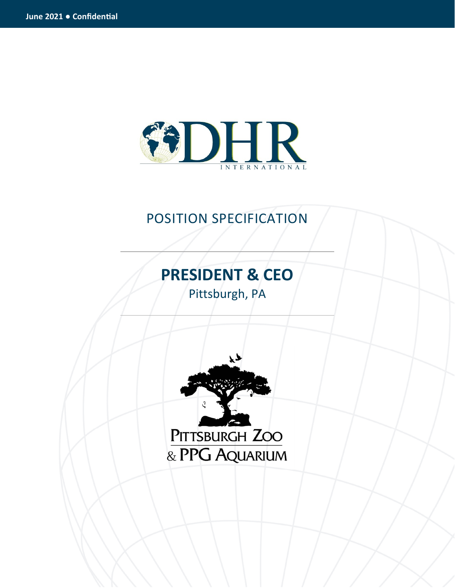

## POSITION SPECIFICATION

# **PRESIDENT & CEO**

Pittsburgh, PA

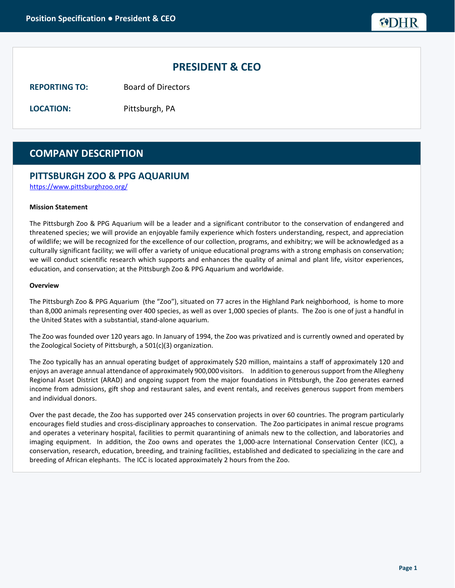## **PRESIDENT & CEO**

**REPORTING TO:** Board of Directors

**LOCATION:** Pittsburgh, PA

## **COMPANY DESCRIPTION**

### **PITTSBURGH ZOO & PPG AQUARIUM**

https://www.pittsburghzoo.org/

#### **Mission Statement**

The Pittsburgh Zoo & PPG Aquarium will be a leader and a significant contributor to the conservation of endangered and threatened species; we will provide an enjoyable family experience which fosters understanding, respect, and appreciation of wildlife; we will be recognized for the excellence of our collection, programs, and exhibitry; we will be acknowledged as a culturally significant facility; we will offer a variety of unique educational programs with a strong emphasis on conservation; we will conduct scientific research which supports and enhances the quality of animal and plant life, visitor experiences, education, and conservation; at the Pittsburgh Zoo & PPG Aquarium and worldwide.

#### **Overview**

The Pittsburgh Zoo & PPG Aquarium (the "Zoo"), situated on 77 acres in the Highland Park neighborhood, is home to more than 8,000 animals representing over 400 species, as well as over 1,000 species of plants. The Zoo is one of just a handful in the United States with a substantial, stand-alone aquarium.

The Zoo was founded over 120 years ago. In January of 1994, the Zoo was privatized and is currently owned and operated by the Zoological Society of Pittsburgh, a 501(c)(3) organization.

The Zoo typically has an annual operating budget of approximately \$20 million, maintains a staff of approximately 120 and enjoys an average annual attendance of approximately 900,000 visitors. In addition to generous support from the Allegheny Regional Asset District (ARAD) and ongoing support from the major foundations in Pittsburgh, the Zoo generates earned income from admissions, gift shop and restaurant sales, and event rentals, and receives generous support from members and individual donors.

Over the past decade, the Zoo has supported over 245 conservation projects in over 60 countries. The program particularly encourages field studies and cross-disciplinary approaches to conservation. The Zoo participates in animal rescue programs and operates a veterinary hospital, facilities to permit quarantining of animals new to the collection, and laboratories and imaging equipment. In addition, the Zoo owns and operates the 1,000-acre International Conservation Center (ICC), a conservation, research, education, breeding, and training facilities, established and dedicated to specializing in the care and breeding of African elephants. The ICC is located approximately 2 hours from the Zoo.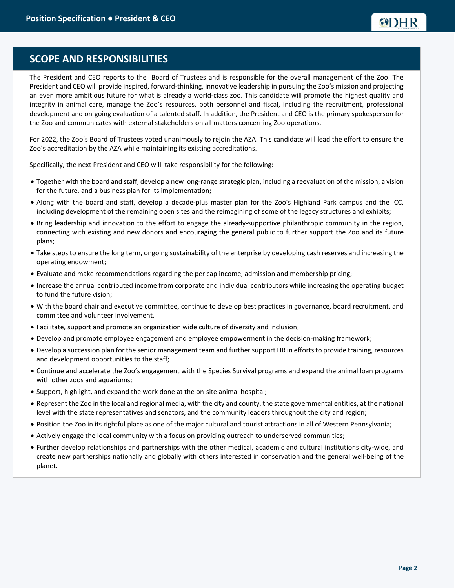## **SCOPE AND RESPONSIBILITIES**

The President and CEO reports to the Board of Trustees and is responsible for the overall management of the Zoo. The President and CEO will provide inspired, forward-thinking, innovative leadership in pursuing the Zoo's mission and projecting an even more ambitious future for what is already a world-class zoo. This candidate will promote the highest quality and integrity in animal care, manage the Zoo's resources, both personnel and fiscal, including the recruitment, professional development and on-going evaluation of a talented staff. In addition, the President and CEO is the primary spokesperson for the Zoo and communicates with external stakeholders on all matters concerning Zoo operations.

For 2022, the Zoo's Board of Trustees voted unanimously to rejoin the AZA. This candidate will lead the effort to ensure the Zoo's accreditation by the AZA while maintaining its existing accreditations.

Specifically, the next President and CEO will take responsibility for the following:

- Together with the board and staff, develop a new long-range strategic plan, including a reevaluation of the mission, a vision for the future, and a business plan for its implementation;
- Along with the board and staff, develop a decade-plus master plan for the Zoo's Highland Park campus and the ICC, including development of the remaining open sites and the reimagining of some of the legacy structures and exhibits;
- Bring leadership and innovation to the effort to engage the already-supportive philanthropic community in the region, connecting with existing and new donors and encouraging the general public to further support the Zoo and its future plans;
- Take steps to ensure the long term, ongoing sustainability of the enterprise by developing cash reserves and increasing the operating endowment;
- Evaluate and make recommendations regarding the per cap income, admission and membership pricing;
- Increase the annual contributed income from corporate and individual contributors while increasing the operating budget to fund the future vision;
- With the board chair and executive committee, continue to develop best practices in governance, board recruitment, and committee and volunteer involvement.
- Facilitate, support and promote an organization wide culture of diversity and inclusion;
- Develop and promote employee engagement and employee empowerment in the decision-making framework;
- Develop a succession plan for the senior management team and further support HR in efforts to provide training, resources and development opportunities to the staff;
- Continue and accelerate the Zoo's engagement with the Species Survival programs and expand the animal loan programs with other zoos and aquariums;
- Support, highlight, and expand the work done at the on-site animal hospital;
- Represent the Zoo in the local and regional media, with the city and county, the state governmental entities, at the national level with the state representatives and senators, and the community leaders throughout the city and region;
- Position the Zoo in its rightful place as one of the major cultural and tourist attractions in all of Western Pennsylvania;
- Actively engage the local community with a focus on providing outreach to underserved communities;
- Further develop relationships and partnerships with the other medical, academic and cultural institutions city-wide, and create new partnerships nationally and globally with others interested in conservation and the general well-being of the planet.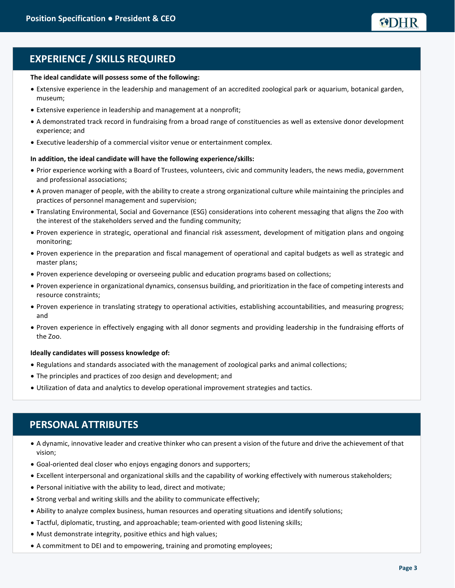## **EXPERIENCE / SKILLS REQUIRED**

#### **The ideal candidate will possess some of the following:**

- Extensive experience in the leadership and management of an accredited zoological park or aquarium, botanical garden, museum;
- Extensive experience in leadership and management at a nonprofit;
- A demonstrated track record in fundraising from a broad range of constituencies as well as extensive donor development experience; and
- Executive leadership of a commercial visitor venue or entertainment complex.

#### **In addition, the ideal candidate will have the following experience/skills:**

- Prior experience working with a Board of Trustees, volunteers, civic and community leaders, the news media, government and professional associations;
- A proven manager of people, with the ability to create a strong organizational culture while maintaining the principles and practices of personnel management and supervision;
- Translating Environmental, Social and Governance (ESG) considerations into coherent messaging that aligns the Zoo with the interest of the stakeholders served and the funding community;
- Proven experience in strategic, operational and financial risk assessment, development of mitigation plans and ongoing monitoring;
- Proven experience in the preparation and fiscal management of operational and capital budgets as well as strategic and master plans;
- Proven experience developing or overseeing public and education programs based on collections;
- Proven experience in organizational dynamics, consensus building, and prioritization in the face of competing interests and resource constraints;
- Proven experience in translating strategy to operational activities, establishing accountabilities, and measuring progress; and
- Proven experience in effectively engaging with all donor segments and providing leadership in the fundraising efforts of the Zoo.

#### **Ideally candidates will possess knowledge of:**

- Regulations and standards associated with the management of zoological parks and animal collections;
- The principles and practices of zoo design and development; and
- Utilization of data and analytics to develop operational improvement strategies and tactics.

## **PERSONAL ATTRIBUTES**

- A dynamic, innovative leader and creative thinker who can present a vision of the future and drive the achievement of that vision;
- Goal-oriented deal closer who enjoys engaging donors and supporters;
- Excellent interpersonal and organizational skills and the capability of working effectively with numerous stakeholders;
- Personal initiative with the ability to lead, direct and motivate;
- Strong verbal and writing skills and the ability to communicate effectively;
- Ability to analyze complex business, human resources and operating situations and identify solutions;
- Tactful, diplomatic, trusting, and approachable; team-oriented with good listening skills;
- Must demonstrate integrity, positive ethics and high values;
- A commitment to DEI and to empowering, training and promoting employees;